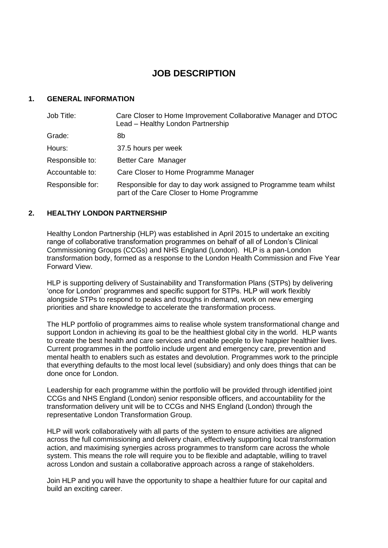# **JOB DESCRIPTION**

#### **1. GENERAL INFORMATION**

| Job Title:       | Care Closer to Home Improvement Collaborative Manager and DTOC<br>Lead - Healthy London Partnership            |
|------------------|----------------------------------------------------------------------------------------------------------------|
| Grade:           | 8b                                                                                                             |
| Hours:           | 37.5 hours per week                                                                                            |
| Responsible to:  | <b>Better Care Manager</b>                                                                                     |
| Accountable to:  | Care Closer to Home Programme Manager                                                                          |
| Responsible for: | Responsible for day to day work assigned to Programme team whilst<br>part of the Care Closer to Home Programme |

#### **2. HEALTHY LONDON PARTNERSHIP**

Healthy London Partnership (HLP) was established in April 2015 to undertake an exciting range of collaborative transformation programmes on behalf of all of London's Clinical Commissioning Groups (CCGs) and NHS England (London). HLP is a pan-London transformation body, formed as a response to the London Health Commission and Five Year Forward View.

HLP is supporting delivery of Sustainability and Transformation Plans (STPs) by delivering 'once for London' programmes and specific support for STPs. HLP will work flexibly alongside STPs to respond to peaks and troughs in demand, work on new emerging priorities and share knowledge to accelerate the transformation process.

The HLP portfolio of programmes aims to realise whole system transformational change and support London in achieving its goal to be the healthiest global city in the world. HLP wants to create the best health and care services and enable people to live happier healthier lives. Current programmes in the portfolio include urgent and emergency care, prevention and mental health to enablers such as estates and devolution. Programmes work to the principle that everything defaults to the most local level (subsidiary) and only does things that can be done once for London.

Leadership for each programme within the portfolio will be provided through identified joint CCGs and NHS England (London) senior responsible officers, and accountability for the transformation delivery unit will be to CCGs and NHS England (London) through the representative London Transformation Group.

HLP will work collaboratively with all parts of the system to ensure activities are aligned across the full commissioning and delivery chain, effectively supporting local transformation action, and maximising synergies across programmes to transform care across the whole system. This means the role will require you to be flexible and adaptable, willing to travel across London and sustain a collaborative approach across a range of stakeholders.

Join HLP and you will have the opportunity to shape a healthier future for our capital and build an exciting career.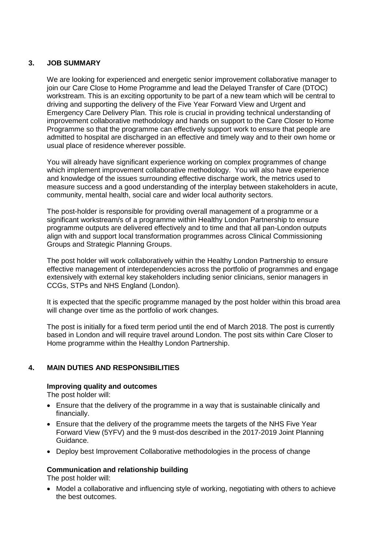### **3. JOB SUMMARY**

We are looking for experienced and energetic senior improvement collaborative manager to join our Care Close to Home Programme and lead the Delayed Transfer of Care (DTOC) workstream. This is an exciting opportunity to be part of a new team which will be central to driving and supporting the delivery of the Five Year Forward View and Urgent and Emergency Care Delivery Plan. This role is crucial in providing technical understanding of improvement collaborative methodology and hands on support to the Care Closer to Home Programme so that the programme can effectively support work to ensure that people are admitted to hospital are discharged in an effective and timely way and to their own home or usual place of residence wherever possible.

You will already have significant experience working on complex programmes of change which implement improvement collaborative methodology. You will also have experience and knowledge of the issues surrounding effective discharge work, the metrics used to measure success and a good understanding of the interplay between stakeholders in acute, community, mental health, social care and wider local authority sectors.

The post-holder is responsible for providing overall management of a programme or a significant workstream/s of a programme within Healthy London Partnership to ensure programme outputs are delivered effectively and to time and that all pan-London outputs align with and support local transformation programmes across Clinical Commissioning Groups and Strategic Planning Groups.

The post holder will work collaboratively within the Healthy London Partnership to ensure effective management of interdependencies across the portfolio of programmes and engage extensively with external key stakeholders including senior clinicians, senior managers in CCGs, STPs and NHS England (London).

It is expected that the specific programme managed by the post holder within this broad area will change over time as the portfolio of work changes.

The post is initially for a fixed term period until the end of March 2018. The post is currently based in London and will require travel around London. The post sits within Care Closer to Home programme within the Healthy London Partnership.

# **4. MAIN DUTIES AND RESPONSIBILITIES**

#### **Improving quality and outcomes**

The post holder will:

- Ensure that the delivery of the programme in a way that is sustainable clinically and financially.
- Ensure that the delivery of the programme meets the targets of the NHS Five Year Forward View (5YFV) and the 9 must-dos described in the 2017-2019 Joint Planning Guidance.
- Deploy best Improvement Collaborative methodologies in the process of change

#### **Communication and relationship building**

The post holder will:

• Model a collaborative and influencing style of working, negotiating with others to achieve the best outcomes.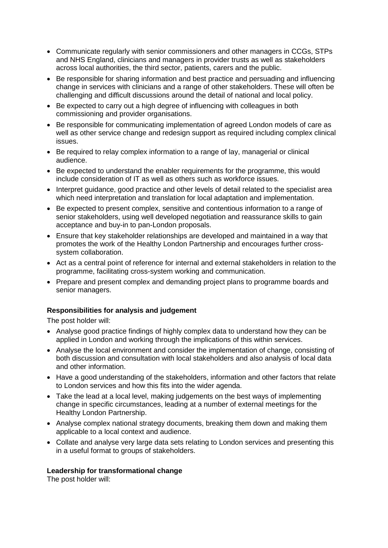- Communicate regularly with senior commissioners and other managers in CCGs, STPs and NHS England, clinicians and managers in provider trusts as well as stakeholders across local authorities, the third sector, patients, carers and the public.
- Be responsible for sharing information and best practice and persuading and influencing change in services with clinicians and a range of other stakeholders. These will often be challenging and difficult discussions around the detail of national and local policy.
- Be expected to carry out a high degree of influencing with colleagues in both commissioning and provider organisations.
- Be responsible for communicating implementation of agreed London models of care as well as other service change and redesign support as required including complex clinical issues.
- Be required to relay complex information to a range of lay, managerial or clinical audience.
- Be expected to understand the enabler requirements for the programme, this would include consideration of IT as well as others such as workforce issues.
- Interpret guidance, good practice and other levels of detail related to the specialist area which need interpretation and translation for local adaptation and implementation.
- Be expected to present complex, sensitive and contentious information to a range of senior stakeholders, using well developed negotiation and reassurance skills to gain acceptance and buy-in to pan-London proposals.
- Ensure that key stakeholder relationships are developed and maintained in a way that promotes the work of the Healthy London Partnership and encourages further crosssystem collaboration.
- Act as a central point of reference for internal and external stakeholders in relation to the programme, facilitating cross-system working and communication.
- Prepare and present complex and demanding project plans to programme boards and senior managers.

#### **Responsibilities for analysis and judgement**

The post holder will:

- Analyse good practice findings of highly complex data to understand how they can be applied in London and working through the implications of this within services.
- Analyse the local environment and consider the implementation of change, consisting of both discussion and consultation with local stakeholders and also analysis of local data and other information.
- Have a good understanding of the stakeholders, information and other factors that relate to London services and how this fits into the wider agenda.
- Take the lead at a local level, making judgements on the best ways of implementing change in specific circumstances, leading at a number of external meetings for the Healthy London Partnership.
- Analyse complex national strategy documents, breaking them down and making them applicable to a local context and audience.
- Collate and analyse very large data sets relating to London services and presenting this in a useful format to groups of stakeholders.

#### **Leadership for transformational change**

The post holder will: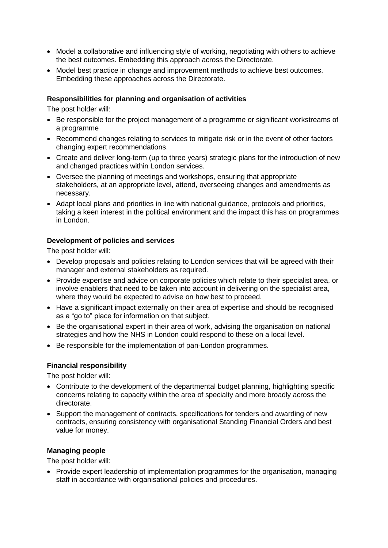- Model a collaborative and influencing style of working, negotiating with others to achieve the best outcomes. Embedding this approach across the Directorate.
- Model best practice in change and improvement methods to achieve best outcomes. Embedding these approaches across the Directorate.

#### **Responsibilities for planning and organisation of activities**

The post holder will:

- Be responsible for the project management of a programme or significant workstreams of a programme
- Recommend changes relating to services to mitigate risk or in the event of other factors changing expert recommendations.
- Create and deliver long-term (up to three years) strategic plans for the introduction of new and changed practices within London services.
- Oversee the planning of meetings and workshops, ensuring that appropriate stakeholders, at an appropriate level, attend, overseeing changes and amendments as necessary.
- Adapt local plans and priorities in line with national guidance, protocols and priorities, taking a keen interest in the political environment and the impact this has on programmes in London.

#### **Development of policies and services**

The post holder will:

- Develop proposals and policies relating to London services that will be agreed with their manager and external stakeholders as required.
- Provide expertise and advice on corporate policies which relate to their specialist area, or involve enablers that need to be taken into account in delivering on the specialist area, where they would be expected to advise on how best to proceed.
- Have a significant impact externally on their area of expertise and should be recognised as a "go to" place for information on that subject.
- Be the organisational expert in their area of work, advising the organisation on national strategies and how the NHS in London could respond to these on a local level.
- Be responsible for the implementation of pan-London programmes.

#### **Financial responsibility**

The post holder will:

- Contribute to the development of the departmental budget planning, highlighting specific concerns relating to capacity within the area of specialty and more broadly across the directorate.
- Support the management of contracts, specifications for tenders and awarding of new contracts, ensuring consistency with organisational Standing Financial Orders and best value for money.

#### **Managing people**

The post holder will:

• Provide expert leadership of implementation programmes for the organisation, managing staff in accordance with organisational policies and procedures.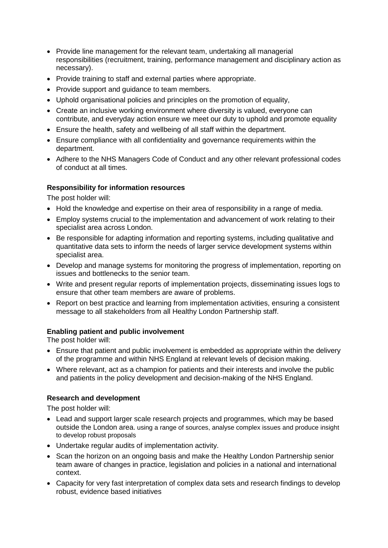- Provide line management for the relevant team, undertaking all managerial responsibilities (recruitment, training, performance management and disciplinary action as necessary).
- Provide training to staff and external parties where appropriate.
- Provide support and guidance to team members.
- Uphold organisational policies and principles on the promotion of equality,
- Create an inclusive working environment where diversity is valued, everyone can contribute, and everyday action ensure we meet our duty to uphold and promote equality
- Ensure the health, safety and wellbeing of all staff within the department.
- Ensure compliance with all confidentiality and governance requirements within the department.
- Adhere to the NHS Managers Code of Conduct and any other relevant professional codes of conduct at all times.

# **Responsibility for information resources**

The post holder will:

- Hold the knowledge and expertise on their area of responsibility in a range of media.
- Employ systems crucial to the implementation and advancement of work relating to their specialist area across London.
- Be responsible for adapting information and reporting systems, including qualitative and quantitative data sets to inform the needs of larger service development systems within specialist area.
- Develop and manage systems for monitoring the progress of implementation, reporting on issues and bottlenecks to the senior team.
- Write and present regular reports of implementation projects, disseminating issues logs to ensure that other team members are aware of problems.
- Report on best practice and learning from implementation activities, ensuring a consistent message to all stakeholders from all Healthy London Partnership staff.

#### **Enabling patient and public involvement**

The post holder will:

- Ensure that patient and public involvement is embedded as appropriate within the delivery of the programme and within NHS England at relevant levels of decision making.
- Where relevant, act as a champion for patients and their interests and involve the public and patients in the policy development and decision-making of the NHS England.

#### **Research and development**

The post holder will:

- Lead and support larger scale research projects and programmes, which may be based outside the London area. using a range of sources, analyse complex issues and produce insight to develop robust proposals
- Undertake regular audits of implementation activity.
- Scan the horizon on an ongoing basis and make the Healthy London Partnership senior team aware of changes in practice, legislation and policies in a national and international context.
- Capacity for very fast interpretation of complex data sets and research findings to develop robust, evidence based initiatives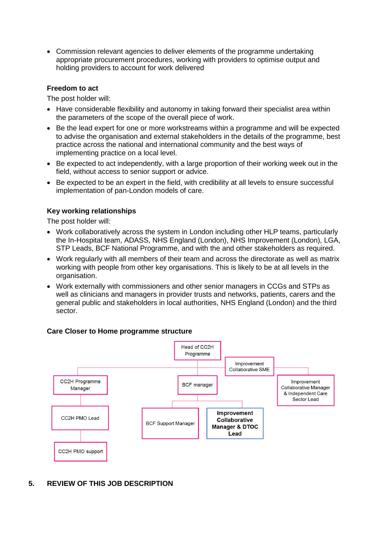• Commission relevant agencies to deliver elements of the programme undertaking appropriate procurement procedures, working with providers to optimise output and holding providers to account for work delivered

#### **Freedom to act**

The post holder will:

- Have considerable flexibility and autonomy in taking forward their specialist area within the parameters of the scope of the overall piece of work.
- Be the lead expert for one or more workstreams within a programme and will be expected to advise the organisation and external stakeholders in the details of the programme, best practice across the national and international community and the best ways of implementing practice on a local level.
- Be expected to act independently, with a large proportion of their working week out in the field, without access to senior support or advice.
- Be expected to be an expert in the field, with credibility at all levels to ensure successful implementation of pan-London models of care.

#### **Key working relationships**

The post holder will:

- Work collaboratively across the system in London including other HLP teams, particularly the In-Hospital team, ADASS, NHS England (London), NHS Improvement (London), LGA, STP Leads, BCF National Programme, and with the and other stakeholders as required.
- Work regularly with all members of their team and across the directorate as well as matrix working with people from other key organisations. This is likely to be at all levels in the organisation.
- Work externally with commissioners and other senior managers in CCGs and STPs as well as clinicians and managers in provider trusts and networks, patients, carers and the general public and stakeholders in local authorities, NHS England (London) and the third sector.

#### **Care Closer to Home programme structure**



**5. REVIEW OF THIS JOB DESCRIPTION**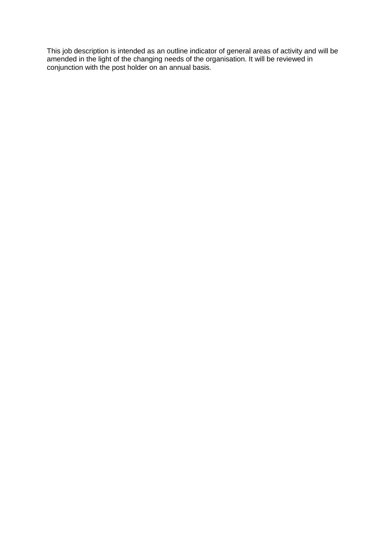This job description is intended as an outline indicator of general areas of activity and will be amended in the light of the changing needs of the organisation. It will be reviewed in conjunction with the post holder on an annual basis.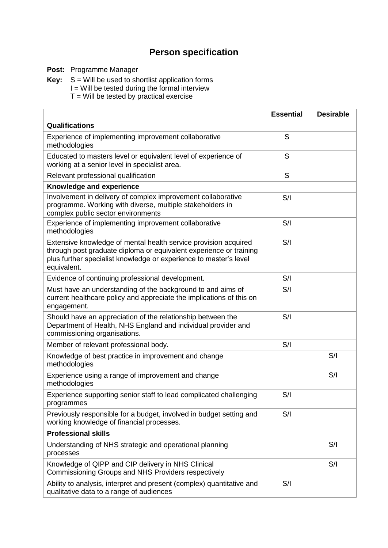# **Person specification**

**Post:** Programme Manager

**Key:** S = Will be used to shortlist application forms

I = Will be tested during the formal interview

 $T =$  Will be tested by practical exercise

|                                                                                                                                                                                                                           | <b>Essential</b> | <b>Desirable</b> |
|---------------------------------------------------------------------------------------------------------------------------------------------------------------------------------------------------------------------------|------------------|------------------|
| Qualifications                                                                                                                                                                                                            |                  |                  |
| Experience of implementing improvement collaborative<br>methodologies                                                                                                                                                     | S                |                  |
| Educated to masters level or equivalent level of experience of<br>working at a senior level in specialist area.                                                                                                           | S                |                  |
| Relevant professional qualification                                                                                                                                                                                       | S                |                  |
| Knowledge and experience                                                                                                                                                                                                  |                  |                  |
| Involvement in delivery of complex improvement collaborative<br>programme. Working with diverse, multiple stakeholders in<br>complex public sector environments                                                           | S/I              |                  |
| Experience of implementing improvement collaborative<br>methodologies                                                                                                                                                     | S/I              |                  |
| Extensive knowledge of mental health service provision acquired<br>through post graduate diploma or equivalent experience or training<br>plus further specialist knowledge or experience to master's level<br>equivalent. | S/I              |                  |
| Evidence of continuing professional development.                                                                                                                                                                          | S/I              |                  |
| Must have an understanding of the background to and aims of<br>current healthcare policy and appreciate the implications of this on<br>engagement.                                                                        | S/I              |                  |
| Should have an appreciation of the relationship between the<br>Department of Health, NHS England and individual provider and<br>commissioning organisations.                                                              | S/I              |                  |
| Member of relevant professional body.                                                                                                                                                                                     | S/I              |                  |
| Knowledge of best practice in improvement and change<br>methodologies                                                                                                                                                     |                  | S/I              |
| Experience using a range of improvement and change<br>methodologies                                                                                                                                                       |                  | S/I              |
| Experience supporting senior staff to lead complicated challenging<br>programmes                                                                                                                                          | S/I              |                  |
| Previously responsible for a budget, involved in budget setting and<br>working knowledge of financial processes.                                                                                                          | S/I              |                  |
| <b>Professional skills</b>                                                                                                                                                                                                |                  |                  |
| Understanding of NHS strategic and operational planning<br>processes                                                                                                                                                      |                  | S/I              |
| Knowledge of QIPP and CIP delivery in NHS Clinical<br>Commissioning Groups and NHS Providers respectively                                                                                                                 |                  | S/I              |
| Ability to analysis, interpret and present (complex) quantitative and<br>qualitative data to a range of audiences                                                                                                         | S/I              |                  |